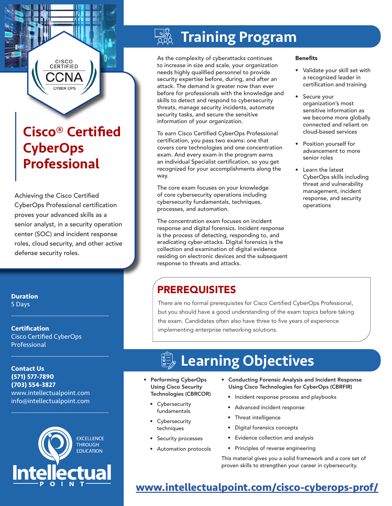## Cisco® Certified **CyberOps** Professional

CISCO **CERTIFIED** 

Achieving the Cisco Certified CyberOps Professional certification proves your advanced skills as a senior analyst, in a security operation center (SOC) and incident response roles, cloud security, and other active defense security roles.

#### **Duration** 5 Days

**Certification** Cisco Certified CyberOps **Professional** 

 $\mathcal{L}_\text{max}$  , and the set of the set of the set of the set of the set of the set of the set of the set of the set of the set of the set of the set of the set of the set of the set of the set of the set of the set of the

 $\mathcal{L}_\text{max}$  , and the set of the set of the set of the set of the set of the set of the set of the set of the set of the set of the set of the set of the set of the set of the set of the set of the set of the set of the

 $\mathcal{L}_\text{max}$  and  $\mathcal{L}_\text{max}$  and  $\mathcal{L}_\text{max}$  and  $\mathcal{L}_\text{max}$ 

**Contact Us (571) 577-7890 (703) 554-3827** www.intellectualpoint.com info@intellectualpoint.com



# Training Program

As the complexity of cyberattacks continues to increase in size and scale, your organization needs highly qualified personnel to provide security expertise before, during, and after an attack. The demand is greater now than ever before for professionals with the knowledge and skills to detect and respond to cybersecurity threats, manage security incidents, automate security tasks, and secure the sensitive information of your organization.

To earn Cisco Certified CyberOps Professional certification, you pass two exams: one that covers core technologies and one concentration exam. And every exam in the program earns an individual Specialist certification, so you get recognized for your accomplishments along the way.

The core exam focuses on your knowledge of core cybersecurity operations including cybersecurity fundamentals, techniques, processes, and automation.

The concentration exam focuses on incident response and digital forensics. Incident response is the process of detecting, responding to, and eradicating cyber-attacks. Digital forensics is the collection and examination of digital evidence residing on electronic devices and the subsequent response to threats and attacks.

#### **Benefits**

- Validate your skill set with a recognized leader in certification and training
- Secure your organization's most sensitive information as we become more globally connected and reliant on cloud-based services
- Position yourself for advancement to more senior roles
- Learn the latest CyberOps skills including threat and vulnerability management, incident response, and security operations

## PREREQUISITES

There are no formal prerequisites for Cisco Certified CyberOps Professional, but you should have a good understanding of the exam topics before taking the exam. Candidates often also have three to five years of experience implementing enterprise networking solutions.

# Learning Objectives

- Performing CyberOps Using Cisco Security Technologies (CBRCOR)
	- Cybersecurity fundamentals
	- Cybersecurity techniques
	- Security processes
	- Automation protocols
- Conducting Forensic Analysis and Incident Response Using Cisco Technologies for CyberOps (CBRFIR)
	- Incident response process and playbooks
	- Advanced incident response
	- Threat intelligence
	- Digital forensics concepts
	- Evidence collection and analysis
	- Principles of reverse engineering

This material gives you a solid framework and a core set of proven skills to strengthen your career in cybersecurity.

### **[www.intellectualpoint.com/](https://www.intellectualpoint.com/product/cisco-certified-cybersops-professional/)cisco-cyberops-prof/**